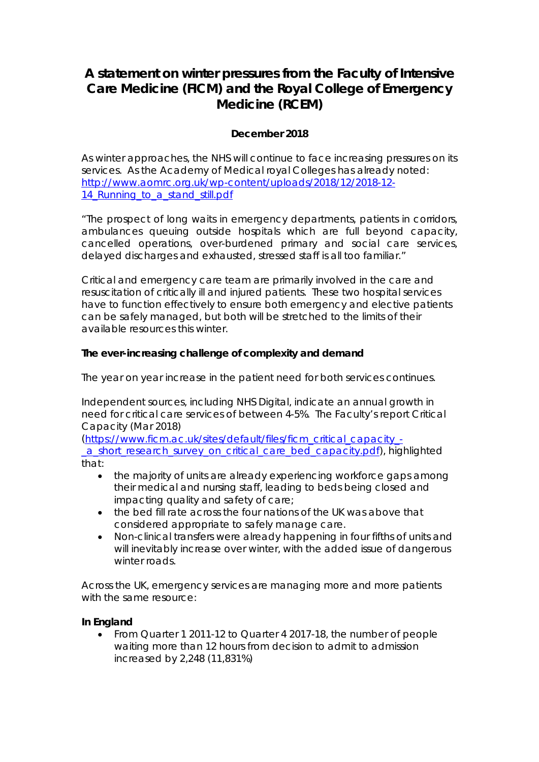# **A statement on winter pressures from the Faculty of Intensive Care Medicine (FICM) and the Royal College of Emergency Medicine (RCEM)**

# **December 2018**

As winter approaches, the NHS will continue to face increasing pressures on its services. As the Academy of Medical royal Colleges has already noted: [http://www.aomrc.org.uk/wp-content/uploads/2018/12/2018-12-](http://www.aomrc.org.uk/wp-content/uploads/2018/12/2018-12-14_Running_to_a_stand_still.pdf) 14<sup>-</sup>Running to a stand still.pdf

*"The prospect of long waits in emergency departments, patients in corridors, ambulances queuing outside hospitals which are full beyond capacity, cancelled operations, over-burdened primary and social care services, delayed discharges and exhausted, stressed staff is all too familiar."*

Critical and emergency care team are primarily involved in the care and resuscitation of critically ill and injured patients. These two hospital services have to function effectively to ensure both emergency and elective patients can be safely managed, but both will be stretched to the limits of their available resources this winter.

# **The ever-increasing challenge of complexity and demand**

The year on year increase in the patient need for both services continues.

Independent sources, including NHS Digital, indicate an annual growth in need for critical care services of between 4-5%. The Faculty's report Critical Capacity (Mar 2018)

[\(https://www.ficm.ac.uk/sites/default/files/ficm\\_critical\\_capacity\\_](https://www.ficm.ac.uk/sites/default/files/ficm_critical_capacity_-_a_short_research_survey_on_critical_care_bed_capacity.pdf) a short research survey on critical care bed capacity.pdf), highlighted that:

- the majority of units are already experiencing workforce gaps among their medical and nursing staff, leading to beds being closed and impacting quality and safety of care;
- the bed fill rate across the four nations of the UK was above that considered appropriate to safely manage care.
- Non-clinical transfers were already happening in four fifths of units and will inevitably increase over winter, with the added issue of dangerous winter roads.

Across the UK, emergency services are managing more and more patients with the same resource:

# **In England**

• From Quarter 1 2011-12 to Quarter 4 2017-18, the number of people waiting more than 12 hours from decision to admit to admission increased by 2,248 (11,831%)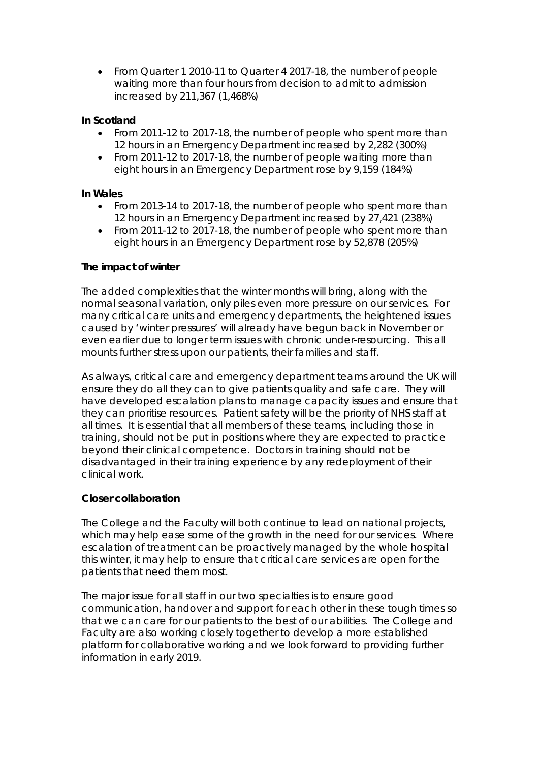• From Quarter 1 2010-11 to Quarter 4 2017-18, the number of people waiting more than four hours from decision to admit to admission increased by 211,367 (1,468%)

## **In Scotland**

- From 2011-12 to 2017-18, the number of people who spent more than 12 hours in an Emergency Department increased by 2,282 (300%)
- From 2011-12 to 2017-18, the number of people waiting more than eight hours in an Emergency Department rose by 9,159 (184%)

#### **In Wales**

- From 2013-14 to 2017-18, the number of people who spent more than 12 hours in an Emergency Department increased by 27,421 (238%)
- From 2011-12 to 2017-18, the number of people who spent more than eight hours in an Emergency Department rose by 52,878 (205%)

#### **The impact of winter**

The added complexities that the winter months will bring, along with the normal seasonal variation, only piles even more pressure on our services. For many critical care units and emergency departments, the heightened issues caused by 'winter pressures' will already have begun back in November or even earlier due to longer term issues with chronic under-resourcing. This all mounts further stress upon our patients, their families and staff.

As always, critical care and emergency department teams around the UK will ensure they do all they can to give patients quality and safe care. They will have developed escalation plans to manage capacity issues and ensure that they can prioritise resources. Patient safety will be the priority of NHS staff at all times. It is essential that all members of these teams, including those in training, should not be put in positions where they are expected to practice beyond their clinical competence. Doctors in training should not be disadvantaged in their training experience by any redeployment of their clinical work.

#### **Closer collaboration**

The College and the Faculty will both continue to lead on national projects, which may help ease some of the growth in the need for our services. Where escalation of treatment can be proactively managed by the whole hospital this winter, it may help to ensure that critical care services are open for the patients that need them most.

The major issue for all staff in our two specialties is to ensure good communication, handover and support for each other in these tough times so that we can care for our patients to the best of our abilities. The College and Faculty are also working closely together to develop a more established platform for collaborative working and we look forward to providing further information in early 2019.